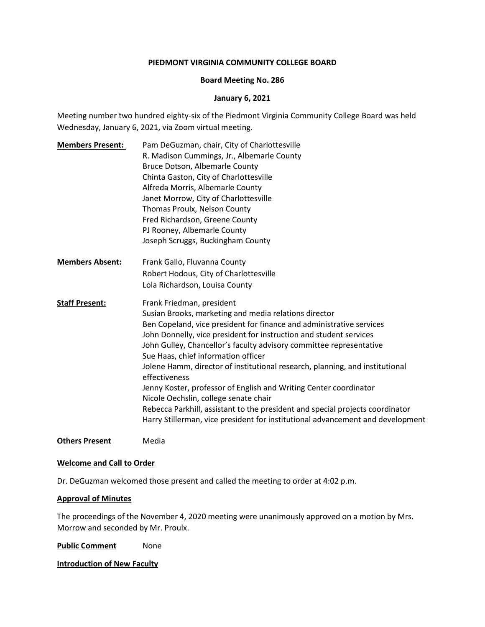#### **PIEDMONT VIRGINIA COMMUNITY COLLEGE BOARD**

#### **Board Meeting No. 286**

#### **January 6, 2021**

Meeting number two hundred eighty-six of the Piedmont Virginia Community College Board was held Wednesday, January 6, 2021, via Zoom virtual meeting.

**Members Present:** Pam DeGuzman, chair, City of Charlottesville R. Madison Cummings, Jr., Albemarle County Bruce Dotson, Albemarle County Chinta Gaston, City of Charlottesville Alfreda Morris, Albemarle County Janet Morrow, City of Charlottesville Thomas Proulx, Nelson County Fred Richardson, Greene County PJ Rooney, Albemarle County Joseph Scruggs, Buckingham County **Members Absent:** Frank Gallo, Fluvanna County Robert Hodous, City of Charlottesville Lola Richardson, Louisa County **Staff Present:** Frank Friedman, president Susian Brooks, marketing and media relations director Ben Copeland, vice president for finance and administrative services John Donnelly, vice president for instruction and student services John Gulley, Chancellor's faculty advisory committee representative Sue Haas, chief information officer Jolene Hamm, director of institutional research, planning, and institutional effectiveness Jenny Koster, professor of English and Writing Center coordinator Nicole Oechslin, college senate chair Rebecca Parkhill, assistant to the president and special projects coordinator Harry Stillerman, vice president for institutional advancement and development

**Others Present** Media

#### **Welcome and Call to Order**

Dr. DeGuzman welcomed those present and called the meeting to order at 4:02 p.m.

#### **Approval of Minutes**

The proceedings of the November 4, 2020 meeting were unanimously approved on a motion by Mrs. Morrow and seconded by Mr. Proulx.

**Public Comment** None

#### **Introduction of New Faculty**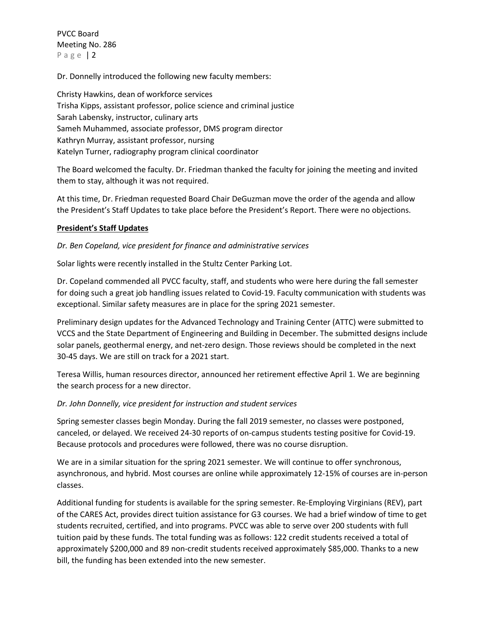Dr. Donnelly introduced the following new faculty members:

Christy Hawkins, dean of workforce services Trisha Kipps, assistant professor, police science and criminal justice Sarah Labensky, instructor, culinary arts Sameh Muhammed, associate professor, DMS program director Kathryn Murray, assistant professor, nursing Katelyn Turner, radiography program clinical coordinator

The Board welcomed the faculty. Dr. Friedman thanked the faculty for joining the meeting and invited them to stay, although it was not required.

At this time, Dr. Friedman requested Board Chair DeGuzman move the order of the agenda and allow the President's Staff Updates to take place before the President's Report. There were no objections.

# **President's Staff Updates**

# *Dr. Ben Copeland, vice president for finance and administrative services*

Solar lights were recently installed in the Stultz Center Parking Lot.

Dr. Copeland commended all PVCC faculty, staff, and students who were here during the fall semester for doing such a great job handling issues related to Covid-19. Faculty communication with students was exceptional. Similar safety measures are in place for the spring 2021 semester.

Preliminary design updates for the Advanced Technology and Training Center (ATTC) were submitted to VCCS and the State Department of Engineering and Building in December. The submitted designs include solar panels, geothermal energy, and net-zero design. Those reviews should be completed in the next 30-45 days. We are still on track for a 2021 start.

Teresa Willis, human resources director, announced her retirement effective April 1. We are beginning the search process for a new director.

### *Dr. John Donnelly, vice president for instruction and student services*

Spring semester classes begin Monday. During the fall 2019 semester, no classes were postponed, canceled, or delayed. We received 24-30 reports of on-campus students testing positive for Covid-19. Because protocols and procedures were followed, there was no course disruption.

We are in a similar situation for the spring 2021 semester. We will continue to offer synchronous, asynchronous, and hybrid. Most courses are online while approximately 12-15% of courses are in-person classes.

Additional funding for students is available for the spring semester. Re-Employing Virginians (REV), part of the CARES Act, provides direct tuition assistance for G3 courses. We had a brief window of time to get students recruited, certified, and into programs. PVCC was able to serve over 200 students with full tuition paid by these funds. The total funding was as follows: 122 credit students received a total of approximately \$200,000 and 89 non-credit students received approximately \$85,000. Thanks to a new bill, the funding has been extended into the new semester.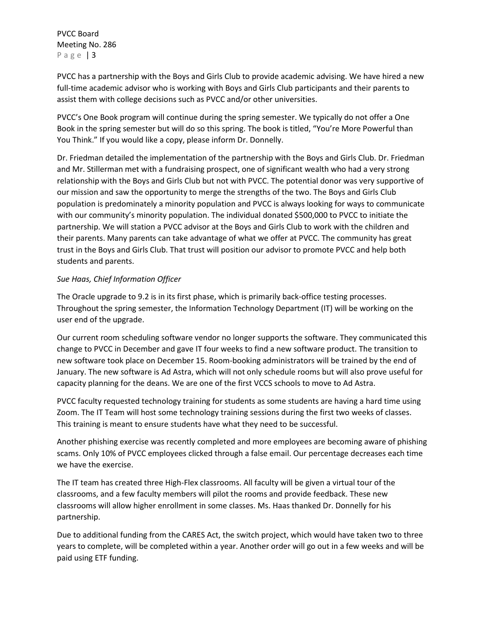PVCC has a partnership with the Boys and Girls Club to provide academic advising. We have hired a new full-time academic advisor who is working with Boys and Girls Club participants and their parents to assist them with college decisions such as PVCC and/or other universities.

PVCC's One Book program will continue during the spring semester. We typically do not offer a One Book in the spring semester but will do so this spring. The book is titled, "You're More Powerful than You Think." If you would like a copy, please inform Dr. Donnelly.

Dr. Friedman detailed the implementation of the partnership with the Boys and Girls Club. Dr. Friedman and Mr. Stillerman met with a fundraising prospect, one of significant wealth who had a very strong relationship with the Boys and Girls Club but not with PVCC. The potential donor was very supportive of our mission and saw the opportunity to merge the strengths of the two. The Boys and Girls Club population is predominately a minority population and PVCC is always looking for ways to communicate with our community's minority population. The individual donated \$500,000 to PVCC to initiate the partnership. We will station a PVCC advisor at the Boys and Girls Club to work with the children and their parents. Many parents can take advantage of what we offer at PVCC. The community has great trust in the Boys and Girls Club. That trust will position our advisor to promote PVCC and help both students and parents.

### *Sue Haas, Chief Information Officer*

The Oracle upgrade to 9.2 is in its first phase, which is primarily back-office testing processes. Throughout the spring semester, the Information Technology Department (IT) will be working on the user end of the upgrade.

Our current room scheduling software vendor no longer supports the software. They communicated this change to PVCC in December and gave IT four weeks to find a new software product. The transition to new software took place on December 15. Room-booking administrators will be trained by the end of January. The new software is Ad Astra, which will not only schedule rooms but will also prove useful for capacity planning for the deans. We are one of the first VCCS schools to move to Ad Astra.

PVCC faculty requested technology training for students as some students are having a hard time using Zoom. The IT Team will host some technology training sessions during the first two weeks of classes. This training is meant to ensure students have what they need to be successful.

Another phishing exercise was recently completed and more employees are becoming aware of phishing scams. Only 10% of PVCC employees clicked through a false email. Our percentage decreases each time we have the exercise.

The IT team has created three High-Flex classrooms. All faculty will be given a virtual tour of the classrooms, and a few faculty members will pilot the rooms and provide feedback. These new classrooms will allow higher enrollment in some classes. Ms. Haas thanked Dr. Donnelly for his partnership.

Due to additional funding from the CARES Act, the switch project, which would have taken two to three years to complete, will be completed within a year. Another order will go out in a few weeks and will be paid using ETF funding.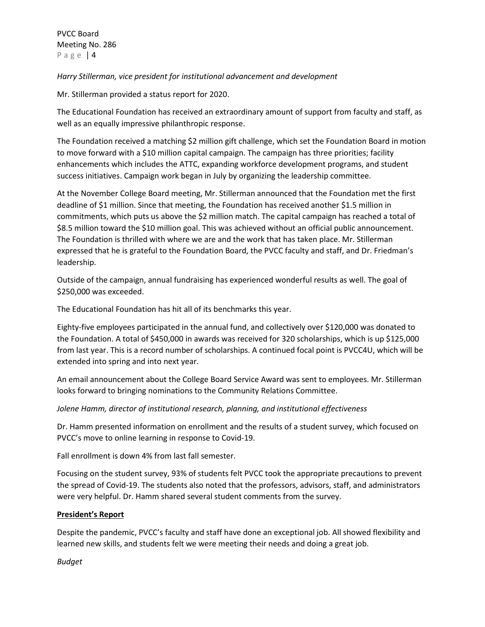*Harry Stillerman, vice president for institutional advancement and development*

Mr. Stillerman provided a status report for 2020.

The Educational Foundation has received an extraordinary amount of support from faculty and staff, as well as an equally impressive philanthropic response.

The Foundation received a matching \$2 million gift challenge, which set the Foundation Board in motion to move forward with a \$10 million capital campaign. The campaign has three priorities; facility enhancements which includes the ATTC, expanding workforce development programs, and student success initiatives. Campaign work began in July by organizing the leadership committee.

At the November College Board meeting, Mr. Stillerman announced that the Foundation met the first deadline of \$1 million. Since that meeting, the Foundation has received another \$1.5 million in commitments, which puts us above the \$2 million match. The capital campaign has reached a total of \$8.5 million toward the \$10 million goal. This was achieved without an official public announcement. The Foundation is thrilled with where we are and the work that has taken place. Mr. Stillerman expressed that he is grateful to the Foundation Board, the PVCC faculty and staff, and Dr. Friedman's leadership.

Outside of the campaign, annual fundraising has experienced wonderful results as well. The goal of \$250,000 was exceeded.

The Educational Foundation has hit all of its benchmarks this year.

Eighty-five employees participated in the annual fund, and collectively over \$120,000 was donated to the Foundation. A total of \$450,000 in awards was received for 320 scholarships, which is up \$125,000 from last year. This is a record number of scholarships. A continued focal point is PVCC4U, which will be extended into spring and into next year.

An email announcement about the College Board Service Award was sent to employees. Mr. Stillerman looks forward to bringing nominations to the Community Relations Committee.

*Jolene Hamm, director of institutional research, planning, and institutional effectiveness*

Dr. Hamm presented information on enrollment and the results of a student survey, which focused on PVCC's move to online learning in response to Covid-19.

Fall enrollment is down 4% from last fall semester.

Focusing on the student survey, 93% of students felt PVCC took the appropriate precautions to prevent the spread of Covid-19. The students also noted that the professors, advisors, staff, and administrators were very helpful. Dr. Hamm shared several student comments from the survey.

# **President's Report**

Despite the pandemic, PVCC's faculty and staff have done an exceptional job. All showed flexibility and learned new skills, and students felt we were meeting their needs and doing a great job.

*Budget*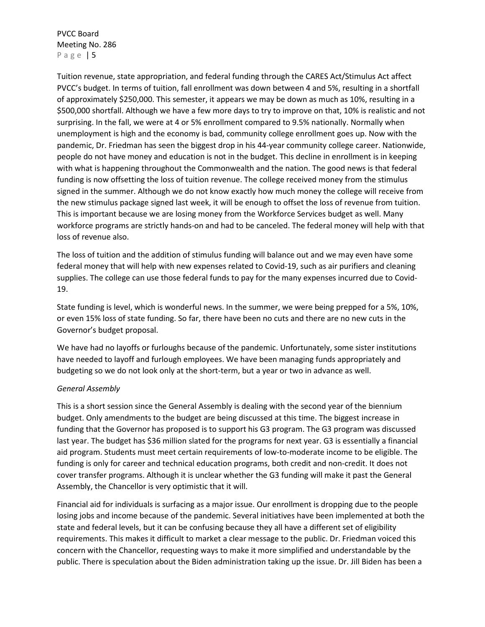Tuition revenue, state appropriation, and federal funding through the CARES Act/Stimulus Act affect PVCC's budget. In terms of tuition, fall enrollment was down between 4 and 5%, resulting in a shortfall of approximately \$250,000. This semester, it appears we may be down as much as 10%, resulting in a \$500,000 shortfall. Although we have a few more days to try to improve on that, 10% is realistic and not surprising. In the fall, we were at 4 or 5% enrollment compared to 9.5% nationally. Normally when unemployment is high and the economy is bad, community college enrollment goes up. Now with the pandemic, Dr. Friedman has seen the biggest drop in his 44-year community college career. Nationwide, people do not have money and education is not in the budget. This decline in enrollment is in keeping with what is happening throughout the Commonwealth and the nation. The good news is that federal funding is now offsetting the loss of tuition revenue. The college received money from the stimulus signed in the summer. Although we do not know exactly how much money the college will receive from the new stimulus package signed last week, it will be enough to offset the loss of revenue from tuition. This is important because we are losing money from the Workforce Services budget as well. Many workforce programs are strictly hands-on and had to be canceled. The federal money will help with that loss of revenue also.

The loss of tuition and the addition of stimulus funding will balance out and we may even have some federal money that will help with new expenses related to Covid-19, such as air purifiers and cleaning supplies. The college can use those federal funds to pay for the many expenses incurred due to Covid-19.

State funding is level, which is wonderful news. In the summer, we were being prepped for a 5%, 10%, or even 15% loss of state funding. So far, there have been no cuts and there are no new cuts in the Governor's budget proposal.

We have had no layoffs or furloughs because of the pandemic. Unfortunately, some sister institutions have needed to layoff and furlough employees. We have been managing funds appropriately and budgeting so we do not look only at the short-term, but a year or two in advance as well.

### *General Assembly*

This is a short session since the General Assembly is dealing with the second year of the biennium budget. Only amendments to the budget are being discussed at this time. The biggest increase in funding that the Governor has proposed is to support his G3 program. The G3 program was discussed last year. The budget has \$36 million slated for the programs for next year. G3 is essentially a financial aid program. Students must meet certain requirements of low-to-moderate income to be eligible. The funding is only for career and technical education programs, both credit and non-credit. It does not cover transfer programs. Although it is unclear whether the G3 funding will make it past the General Assembly, the Chancellor is very optimistic that it will.

Financial aid for individuals is surfacing as a major issue. Our enrollment is dropping due to the people losing jobs and income because of the pandemic. Several initiatives have been implemented at both the state and federal levels, but it can be confusing because they all have a different set of eligibility requirements. This makes it difficult to market a clear message to the public. Dr. Friedman voiced this concern with the Chancellor, requesting ways to make it more simplified and understandable by the public. There is speculation about the Biden administration taking up the issue. Dr. Jill Biden has been a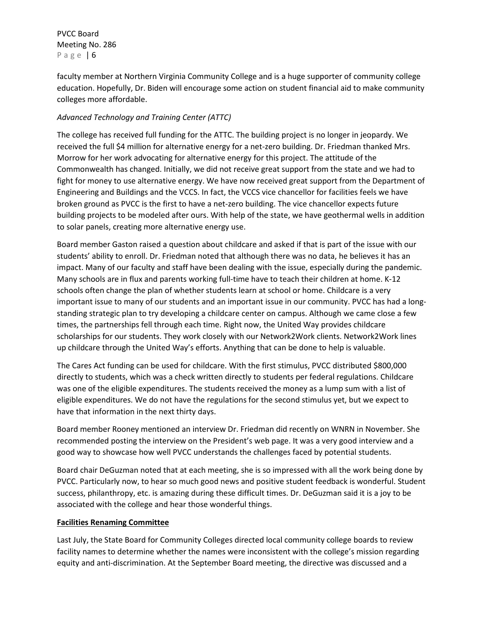faculty member at Northern Virginia Community College and is a huge supporter of community college education. Hopefully, Dr. Biden will encourage some action on student financial aid to make community colleges more affordable.

# *Advanced Technology and Training Center (ATTC)*

The college has received full funding for the ATTC. The building project is no longer in jeopardy. We received the full \$4 million for alternative energy for a net-zero building. Dr. Friedman thanked Mrs. Morrow for her work advocating for alternative energy for this project. The attitude of the Commonwealth has changed. Initially, we did not receive great support from the state and we had to fight for money to use alternative energy. We have now received great support from the Department of Engineering and Buildings and the VCCS. In fact, the VCCS vice chancellor for facilities feels we have broken ground as PVCC is the first to have a net-zero building. The vice chancellor expects future building projects to be modeled after ours. With help of the state, we have geothermal wells in addition to solar panels, creating more alternative energy use.

Board member Gaston raised a question about childcare and asked if that is part of the issue with our students' ability to enroll. Dr. Friedman noted that although there was no data, he believes it has an impact. Many of our faculty and staff have been dealing with the issue, especially during the pandemic. Many schools are in flux and parents working full-time have to teach their children at home. K-12 schools often change the plan of whether students learn at school or home. Childcare is a very important issue to many of our students and an important issue in our community. PVCC has had a longstanding strategic plan to try developing a childcare center on campus. Although we came close a few times, the partnerships fell through each time. Right now, the United Way provides childcare scholarships for our students. They work closely with our Network2Work clients. Network2Work lines up childcare through the United Way's efforts. Anything that can be done to help is valuable.

The Cares Act funding can be used for childcare. With the first stimulus, PVCC distributed \$800,000 directly to students, which was a check written directly to students per federal regulations. Childcare was one of the eligible expenditures. The students received the money as a lump sum with a list of eligible expenditures. We do not have the regulations for the second stimulus yet, but we expect to have that information in the next thirty days.

Board member Rooney mentioned an interview Dr. Friedman did recently on WNRN in November. She recommended posting the interview on the President's web page. It was a very good interview and a good way to showcase how well PVCC understands the challenges faced by potential students.

Board chair DeGuzman noted that at each meeting, she is so impressed with all the work being done by PVCC. Particularly now, to hear so much good news and positive student feedback is wonderful. Student success, philanthropy, etc. is amazing during these difficult times. Dr. DeGuzman said it is a joy to be associated with the college and hear those wonderful things.

### **Facilities Renaming Committee**

Last July, the State Board for Community Colleges directed local community college boards to review facility names to determine whether the names were inconsistent with the college's mission regarding equity and anti-discrimination. At the September Board meeting, the directive was discussed and a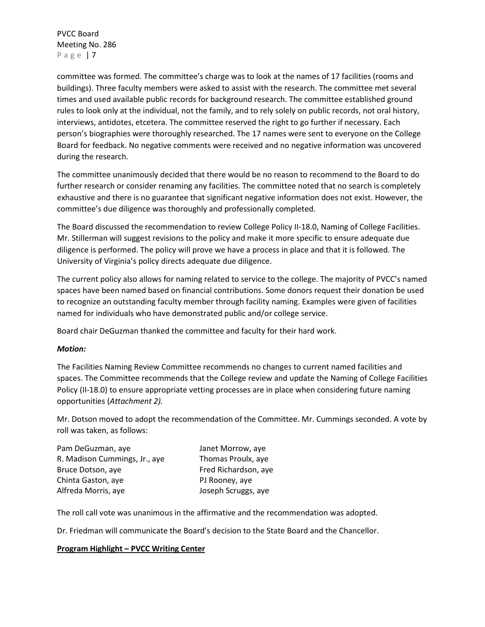committee was formed. The committee's charge was to look at the names of 17 facilities (rooms and buildings). Three faculty members were asked to assist with the research. The committee met several times and used available public records for background research. The committee established ground rules to look only at the individual, not the family, and to rely solely on public records, not oral history, interviews, antidotes, etcetera. The committee reserved the right to go further if necessary. Each person's biographies were thoroughly researched. The 17 names were sent to everyone on the College Board for feedback. No negative comments were received and no negative information was uncovered during the research.

The committee unanimously decided that there would be no reason to recommend to the Board to do further research or consider renaming any facilities. The committee noted that no search is completely exhaustive and there is no guarantee that significant negative information does not exist. However, the committee's due diligence was thoroughly and professionally completed.

The Board discussed the recommendation to review College Policy II-18.0, Naming of College Facilities. Mr. Stillerman will suggest revisions to the policy and make it more specific to ensure adequate due diligence is performed. The policy will prove we have a process in place and that it is followed. The University of Virginia's policy directs adequate due diligence.

The current policy also allows for naming related to service to the college. The majority of PVCC's named spaces have been named based on financial contributions. Some donors request their donation be used to recognize an outstanding faculty member through facility naming. Examples were given of facilities named for individuals who have demonstrated public and/or college service.

Board chair DeGuzman thanked the committee and faculty for their hard work.

### *Motion:*

The Facilities Naming Review Committee recommends no changes to current named facilities and spaces. The Committee recommends that the College review and update the Naming of College Facilities Policy (II-18.0) to ensure appropriate vetting processes are in place when considering future naming opportunities (*Attachment 2).*

Mr. Dotson moved to adopt the recommendation of the Committee. Mr. Cummings seconded. A vote by roll was taken, as follows:

| Pam DeGuzman, aye             | Janet Morrow, aye    |
|-------------------------------|----------------------|
| R. Madison Cummings, Jr., aye | Thomas Proulx, aye   |
| Bruce Dotson, aye             | Fred Richardson, aye |
| Chinta Gaston, aye            | PJ Rooney, aye       |
| Alfreda Morris, aye           | Joseph Scruggs, aye  |
|                               |                      |

The roll call vote was unanimous in the affirmative and the recommendation was adopted.

Dr. Friedman will communicate the Board's decision to the State Board and the Chancellor.

### **Program Highlight – PVCC Writing Center**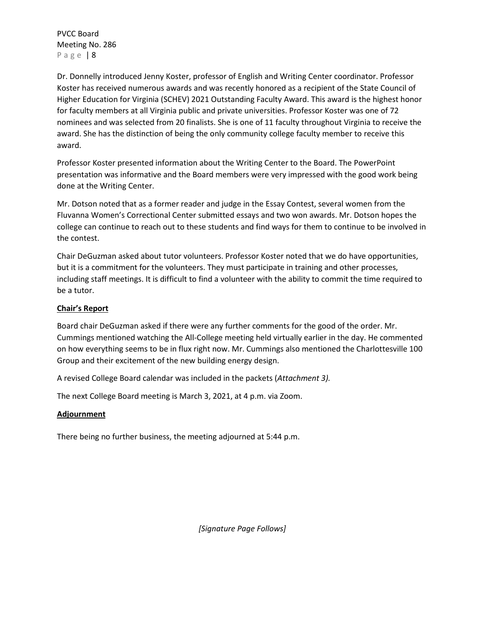Dr. Donnelly introduced Jenny Koster, professor of English and Writing Center coordinator. Professor Koster has received numerous awards and was recently honored as a recipient of the State Council of Higher Education for Virginia (SCHEV) 2021 Outstanding Faculty Award. This award is the highest honor for faculty members at all Virginia public and private universities. Professor Koster was one of 72 nominees and was selected from 20 finalists. She is one of 11 faculty throughout Virginia to receive the award. She has the distinction of being the only community college faculty member to receive this award.

Professor Koster presented information about the Writing Center to the Board. The PowerPoint presentation was informative and the Board members were very impressed with the good work being done at the Writing Center.

Mr. Dotson noted that as a former reader and judge in the Essay Contest, several women from the Fluvanna Women's Correctional Center submitted essays and two won awards. Mr. Dotson hopes the college can continue to reach out to these students and find ways for them to continue to be involved in the contest.

Chair DeGuzman asked about tutor volunteers. Professor Koster noted that we do have opportunities, but it is a commitment for the volunteers. They must participate in training and other processes, including staff meetings. It is difficult to find a volunteer with the ability to commit the time required to be a tutor.

# **Chair's Report**

Board chair DeGuzman asked if there were any further comments for the good of the order. Mr. Cummings mentioned watching the All-College meeting held virtually earlier in the day. He commented on how everything seems to be in flux right now. Mr. Cummings also mentioned the Charlottesville 100 Group and their excitement of the new building energy design.

A revised College Board calendar was included in the packets (*Attachment 3).* 

The next College Board meeting is March 3, 2021, at 4 p.m. via Zoom.

### **Adjournment**

There being no further business, the meeting adjourned at 5:44 p.m.

*[Signature Page Follows]*